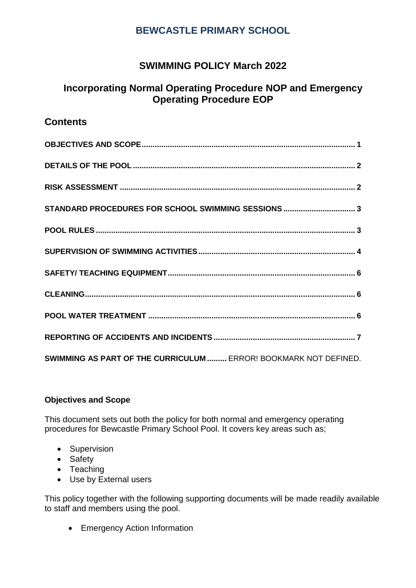# **SWIMMING POLICY March 2022**

# **Incorporating Normal Operating Procedure NOP and Emergency Operating Procedure EOP**

# **Contents**

| STANDARD PROCEDURES FOR SCHOOL SWIMMING SESSIONS  3              |
|------------------------------------------------------------------|
|                                                                  |
|                                                                  |
|                                                                  |
|                                                                  |
|                                                                  |
|                                                                  |
| SWIMMING AS PART OF THE CURRICULUM  ERROR! BOOKMARK NOT DEFINED. |

## <span id="page-0-0"></span>**Objectives and Scope**

This document sets out both the policy for both normal and emergency operating procedures for Bewcastle Primary School Pool. It covers key areas such as;

- Supervision
- Safety
- Teaching
- Use by External users

This policy together with the following supporting documents will be made readily available to staff and members using the pool.

• Emergency Action Information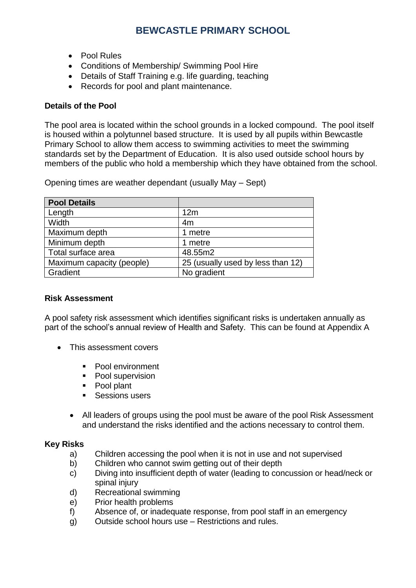- Pool Rules
- Conditions of Membership/ Swimming Pool Hire
- Details of Staff Training e.g. life guarding, teaching
- Records for pool and plant maintenance.

### <span id="page-1-0"></span>**Details of the Pool**

The pool area is located within the school grounds in a locked compound. The pool itself is housed within a polytunnel based structure. It is used by all pupils within Bewcastle Primary School to allow them access to swimming activities to meet the swimming standards set by the Department of Education. It is also used outside school hours by members of the public who hold a membership which they have obtained from the school.

Opening times are weather dependant (usually May – Sept)

| <b>Pool Details</b>       |                                   |
|---------------------------|-----------------------------------|
| Length                    | 12m                               |
| <b>Width</b>              | 4m                                |
| Maximum depth             | 1 metre                           |
| Minimum depth             | 1 metre                           |
| Total surface area        | 48.55m2                           |
| Maximum capacity (people) | 25 (usually used by less than 12) |
| Gradient                  | No gradient                       |

#### <span id="page-1-1"></span>**Risk Assessment**

A pool safety risk assessment which identifies significant risks is undertaken annually as part of the school's annual review of Health and Safety. This can be found at Appendix A

- This assessment covers
	- Pool environment
	- Pool supervision
	- Pool plant
	- Sessions users
	- All leaders of groups using the pool must be aware of the pool Risk Assessment and understand the risks identified and the actions necessary to control them.

#### **Key Risks**

- a) Children accessing the pool when it is not in use and not supervised
- b) Children who cannot swim getting out of their depth
- c) Diving into insufficient depth of water (leading to concussion or head/neck or spinal injury
- d) Recreational swimming
- e) Prior health problems
- f) Absence of, or inadequate response, from pool staff in an emergency
- g) Outside school hours use Restrictions and rules.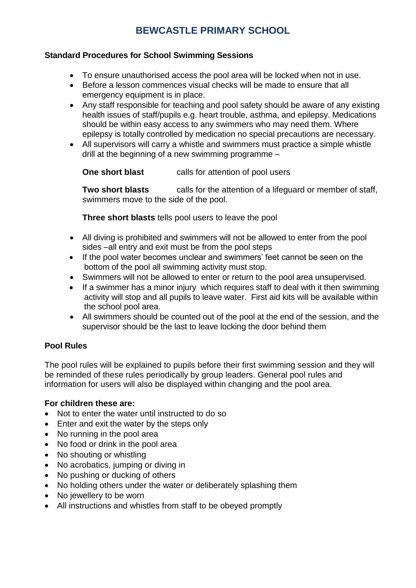### <span id="page-2-0"></span>**Standard Procedures for School Swimming Sessions**

- To ensure unauthorised access the pool area will be locked when not in use.
- Before a lesson commences visual checks will be made to ensure that all emergency equipment is in place.
- Any staff responsible for teaching and pool safety should be aware of any existing health issues of staff/pupils e.g. heart trouble, asthma, and epilepsy. Medications should be within easy access to any swimmers who may need them. Where epilepsy is totally controlled by medication no special precautions are necessary.
- All supervisors will carry a whistle and swimmers must practice a simple whistle drill at the beginning of a new swimming programme –

**One short blast** calls for attention of pool users

**Two short blasts** calls for the attention of a lifeguard or member of staff, swimmers move to the side of the pool.

**Three short blasts** tells pool users to leave the pool

- All diving is prohibited and swimmers will not be allowed to enter from the pool sides –all entry and exit must be from the pool steps
- If the pool water becomes unclear and swimmers' feet cannot be seen on the bottom of the pool all swimming activity must stop.
- Swimmers will not be allowed to enter or return to the pool area unsupervised.
- If a swimmer has a minor injury which requires staff to deal with it then swimming activity will stop and all pupils to leave water. First aid kits will be available within the school pool area.
- All swimmers should be counted out of the pool at the end of the session, and the supervisor should be the last to leave locking the door behind them

## <span id="page-2-1"></span>**Pool Rules**

The pool rules will be explained to pupils before their first swimming session and they will be reminded of these rules periodically by group leaders. General pool rules and information for users will also be displayed within changing and the pool area.

## **For children these are:**

- Not to enter the water until instructed to do so
- Enter and exit the water by the steps only
- No running in the pool area
- No food or drink in the pool area
- No shouting or whistling
- No acrobatics, jumping or diving in
- No pushing or ducking of others
- No holding others under the water or deliberately splashing them
- No jewellery to be worn
- All instructions and whistles from staff to be obeyed promptly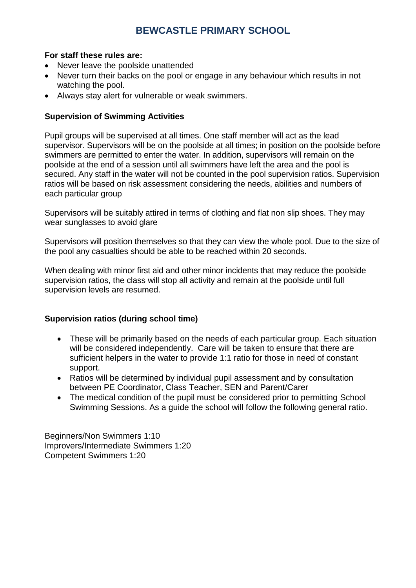### **For staff these rules are:**

- Never leave the poolside unattended
- Never turn their backs on the pool or engage in any behaviour which results in not watching the pool.
- Always stay alert for vulnerable or weak swimmers.

### <span id="page-3-0"></span>**Supervision of Swimming Activities**

Pupil groups will be supervised at all times. One staff member will act as the lead supervisor. Supervisors will be on the poolside at all times; in position on the poolside before swimmers are permitted to enter the water. In addition, supervisors will remain on the poolside at the end of a session until all swimmers have left the area and the pool is secured. Any staff in the water will not be counted in the pool supervision ratios. Supervision ratios will be based on risk assessment considering the needs, abilities and numbers of each particular group

Supervisors will be suitably attired in terms of clothing and flat non slip shoes. They may wear sunglasses to avoid glare

Supervisors will position themselves so that they can view the whole pool. Due to the size of the pool any casualties should be able to be reached within 20 seconds.

When dealing with minor first aid and other minor incidents that may reduce the poolside supervision ratios, the class will stop all activity and remain at the poolside until full supervision levels are resumed.

#### **Supervision ratios (during school time)**

- These will be primarily based on the needs of each particular group. Each situation will be considered independently. Care will be taken to ensure that there are sufficient helpers in the water to provide 1:1 ratio for those in need of constant support.
- Ratios will be determined by individual pupil assessment and by consultation between PE Coordinator, Class Teacher, SEN and Parent/Carer
- The medical condition of the pupil must be considered prior to permitting School Swimming Sessions. As a guide the school will follow the following general ratio.

Beginners/Non Swimmers 1:10 Improvers/Intermediate Swimmers 1:20 Competent Swimmers 1:20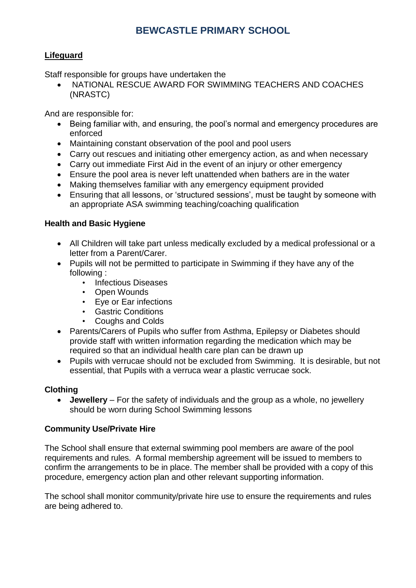## **Lifeguard**

Staff responsible for groups have undertaken the

• NATIONAL RESCUE AWARD FOR SWIMMING TEACHERS AND COACHES (NRASTC)

And are responsible for:

- Being familiar with, and ensuring, the pool's normal and emergency procedures are enforced
- Maintaining constant observation of the pool and pool users
- Carry out rescues and initiating other emergency action, as and when necessary
- Carry out immediate First Aid in the event of an injury or other emergency
- Ensure the pool area is never left unattended when bathers are in the water
- Making themselves familiar with any emergency equipment provided
- Ensuring that all lessons, or 'structured sessions', must be taught by someone with an appropriate ASA swimming teaching/coaching qualification

### **Health and Basic Hygiene**

- All Children will take part unless medically excluded by a medical professional or a letter from a Parent/Carer.
- Pupils will not be permitted to participate in Swimming if they have any of the following :
	- Infectious Diseases
	- Open Wounds
	- Eye or Ear infections
	- Gastric Conditions
	- Coughs and Colds
- Parents/Carers of Pupils who suffer from Asthma, Epilepsy or Diabetes should provide staff with written information regarding the medication which may be required so that an individual health care plan can be drawn up
- Pupils with verrucae should not be excluded from Swimming. It is desirable, but not essential, that Pupils with a verruca wear a plastic verrucae sock.

## **Clothing**

• **Jewellery** – For the safety of individuals and the group as a whole, no jewellery should be worn during School Swimming lessons

#### **Community Use/Private Hire**

The School shall ensure that external swimming pool members are aware of the pool requirements and rules. A formal membership agreement will be issued to members to confirm the arrangements to be in place. The member shall be provided with a copy of this procedure, emergency action plan and other relevant supporting information.

The school shall monitor community/private hire use to ensure the requirements and rules are being adhered to.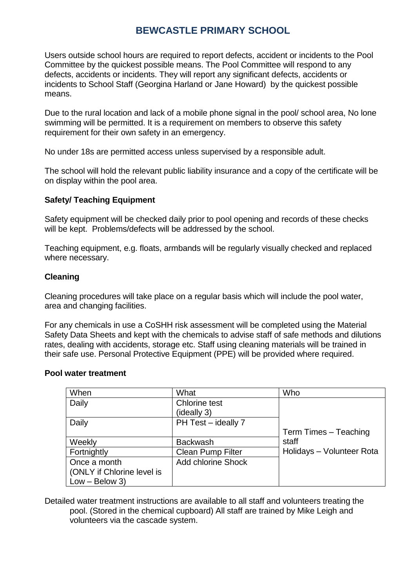Users outside school hours are required to report defects, accident or incidents to the Pool Committee by the quickest possible means. The Pool Committee will respond to any defects, accidents or incidents. They will report any significant defects, accidents or incidents to School Staff (Georgina Harland or Jane Howard) by the quickest possible means.

Due to the rural location and lack of a mobile phone signal in the pool/ school area, No lone swimming will be permitted. It is a requirement on members to observe this safety requirement for their own safety in an emergency.

No under 18s are permitted access unless supervised by a responsible adult.

The school will hold the relevant public liability insurance and a copy of the certificate will be on display within the pool area.

### <span id="page-5-0"></span>**Safety/ Teaching Equipment**

Safety equipment will be checked daily prior to pool opening and records of these checks will be kept. Problems/defects will be addressed by the school.

Teaching equipment, e.g. floats, armbands will be regularly visually checked and replaced where necessary.

#### <span id="page-5-1"></span>**Cleaning**

Cleaning procedures will take place on a regular basis which will include the pool water, area and changing facilities.

For any chemicals in use a CoSHH risk assessment will be completed using the Material Safety Data Sheets and kept with the chemicals to advise staff of safe methods and dilutions rates, dealing with accidents, storage etc. Staff using cleaning materials will be trained in their safe use. Personal Protective Equipment (PPE) will be provided where required.

#### <span id="page-5-2"></span>**Pool water treatment**

| When                       | What                      | Who                       |
|----------------------------|---------------------------|---------------------------|
| Daily                      | <b>Chlorine test</b>      |                           |
|                            | (ideally 3)               |                           |
| Daily                      | PH Test - ideally 7       |                           |
|                            |                           | Term Times - Teaching     |
| Weekly                     | Backwash                  | staff                     |
| Fortnightly                | <b>Clean Pump Filter</b>  | Holidays - Volunteer Rota |
| Once a month               | <b>Add chlorine Shock</b> |                           |
| (ONLY if Chlorine level is |                           |                           |
| $Low - Below 3)$           |                           |                           |

Detailed water treatment instructions are available to all staff and volunteers treating the pool. (Stored in the chemical cupboard) All staff are trained by Mike Leigh and volunteers via the cascade system.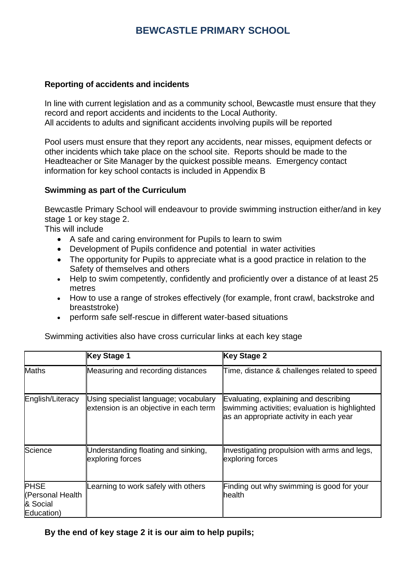### <span id="page-6-0"></span>**Reporting of accidents and incidents**

In line with current legislation and as a community school, Bewcastle must ensure that they record and report accidents and incidents to the Local Authority. All accidents to adults and significant accidents involving pupils will be reported

Pool users must ensure that they report any accidents, near misses, equipment defects or other incidents which take place on the school site. Reports should be made to the Headteacher or Site Manager by the quickest possible means. Emergency contact information for key school contacts is included in Appendix B

#### **Swimming as part of the Curriculum**

Bewcastle Primary School will endeavour to provide swimming instruction either/and in key stage 1 or key stage 2.

This will include

- A safe and caring environment for Pupils to learn to swim
- Development of Pupils confidence and potential in water activities
- The opportunity for Pupils to appreciate what is a good practice in relation to the Safety of themselves and others
- Help to swim competently, confidently and proficiently over a distance of at least 25 metres
- How to use a range of strokes effectively (for example, front crawl, backstroke and breaststroke)
- perform safe self-rescue in different water-based situations

Swimming activities also have cross curricular links at each key stage

|                                                           | <b>Key Stage 1</b>                                                              | <b>Key Stage 2</b>                                                                                                                 |
|-----------------------------------------------------------|---------------------------------------------------------------------------------|------------------------------------------------------------------------------------------------------------------------------------|
| <b>Maths</b>                                              | Measuring and recording distances                                               | Time, distance & challenges related to speed                                                                                       |
| English/Literacy                                          | Using specialist language; vocabulary<br>extension is an objective in each term | Evaluating, explaining and describing<br>swimming activities; evaluation is highlighted<br>as an appropriate activity in each year |
| Science                                                   | Understanding floating and sinking,<br>exploring forces                         | Investigating propulsion with arms and legs,<br>exploring forces                                                                   |
| <b>PHSE</b><br>(Personal Health<br>& Social<br>Education) | earning to work safely with others                                              | Finding out why swimming is good for your<br>health                                                                                |

**By the end of key stage 2 it is our aim to help pupils;**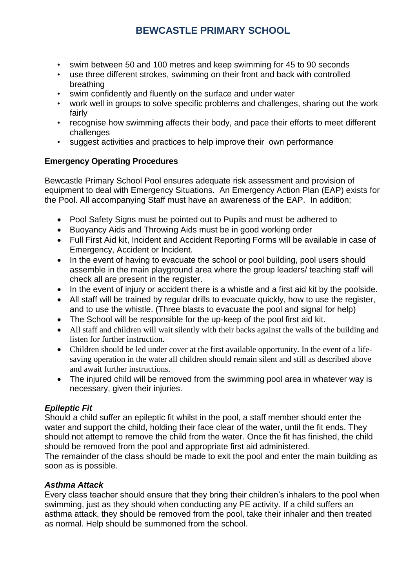- swim between 50 and 100 metres and keep swimming for 45 to 90 seconds
- use three different strokes, swimming on their front and back with controlled breathing
- swim confidently and fluently on the surface and under water
- work well in groups to solve specific problems and challenges, sharing out the work fairly
- recognise how swimming affects their body, and pace their efforts to meet different challenges
- suggest activities and practices to help improve their own performance

## **Emergency Operating Procedures**

Bewcastle Primary School Pool ensures adequate risk assessment and provision of equipment to deal with Emergency Situations. An Emergency Action Plan (EAP) exists for the Pool. All accompanying Staff must have an awareness of the EAP. In addition;

- Pool Safety Signs must be pointed out to Pupils and must be adhered to
- Buoyancy Aids and Throwing Aids must be in good working order
- Full First Aid kit, Incident and Accident Reporting Forms will be available in case of Emergency, Accident or Incident.
- In the event of having to evacuate the school or pool building, pool users should assemble in the main playground area where the group leaders/ teaching staff will check all are present in the register.
- In the event of injury or accident there is a whistle and a first aid kit by the poolside.
- All staff will be trained by regular drills to evacuate quickly, how to use the register, and to use the whistle. (Three blasts to evacuate the pool and signal for help)
- The School will be responsible for the up-keep of the pool first aid kit.
- All staff and children will wait silently with their backs against the walls of the building and listen for further instruction.
- Children should be led under cover at the first available opportunity. In the event of a lifesaving operation in the water all children should remain silent and still as described above and await further instructions.
- The injured child will be removed from the swimming pool area in whatever way is necessary, given their injuries.

## *Epileptic Fit*

Should a child suffer an epileptic fit whilst in the pool, a staff member should enter the water and support the child, holding their face clear of the water, until the fit ends. They should not attempt to remove the child from the water. Once the fit has finished, the child should be removed from the pool and appropriate first aid administered.

The remainder of the class should be made to exit the pool and enter the main building as soon as is possible.

## *Asthma Attack*

Every class teacher should ensure that they bring their children's inhalers to the pool when swimming, just as they should when conducting any PE activity. If a child suffers an asthma attack, they should be removed from the pool, take their inhaler and then treated as normal. Help should be summoned from the school.